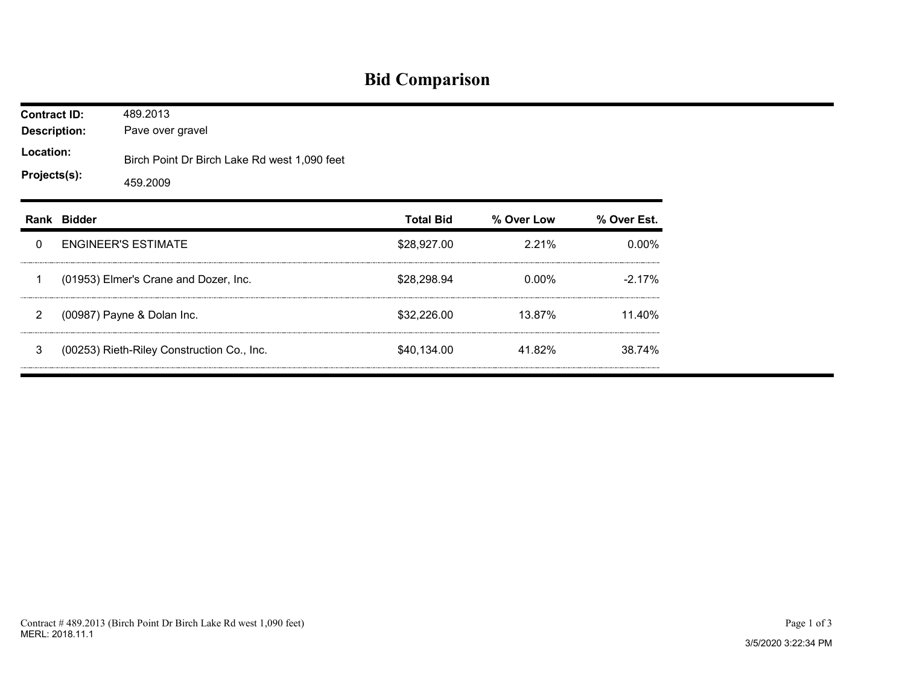## **Bid Comparison**

| <b>Contract ID:</b><br><b>Description:</b><br>Location:<br>Projects(s): |             | 489.2013<br>Pave over gravel                             |                  |            |             |  |  |  |  |
|-------------------------------------------------------------------------|-------------|----------------------------------------------------------|------------------|------------|-------------|--|--|--|--|
|                                                                         |             | Birch Point Dr Birch Lake Rd west 1,090 feet<br>459.2009 |                  |            |             |  |  |  |  |
|                                                                         | Rank Bidder |                                                          | <b>Total Bid</b> | % Over Low | % Over Est. |  |  |  |  |
| 0                                                                       |             | <b>ENGINEER'S ESTIMATE</b>                               | \$28,927.00      | 2.21%      | $0.00\%$    |  |  |  |  |
| 1                                                                       |             | (01953) Elmer's Crane and Dozer, Inc.                    | \$28,298.94      | $0.00\%$   | $-2.17%$    |  |  |  |  |
| $\overline{2}$                                                          |             | (00987) Payne & Dolan Inc.                               | \$32,226.00      | 13.87%     | 11.40%      |  |  |  |  |
| 3                                                                       |             | (00253) Rieth-Riley Construction Co., Inc.               | \$40,134.00      | 41.82%     | 38.74%      |  |  |  |  |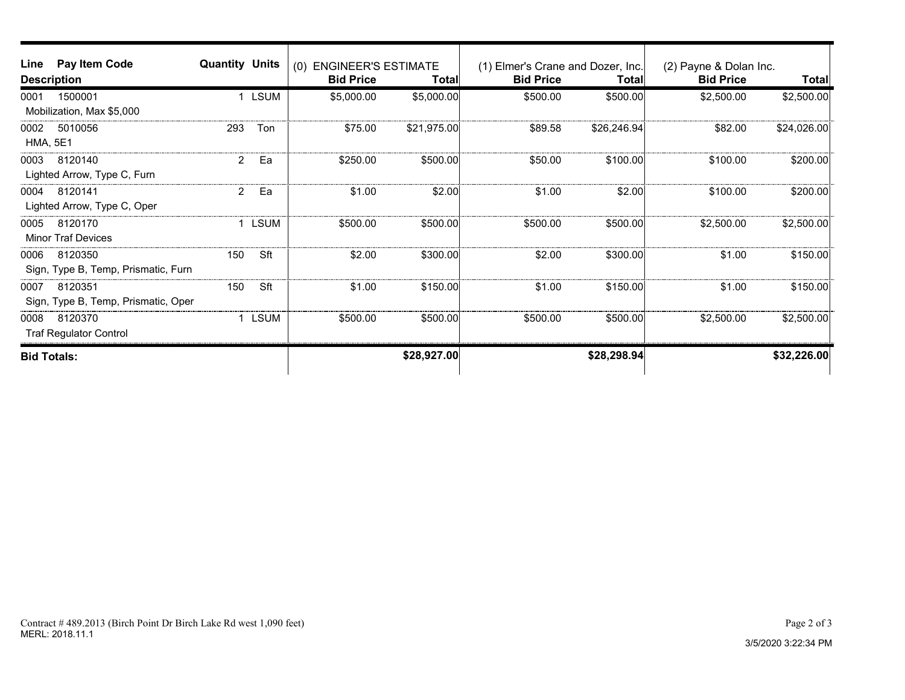| Line               | Pay Item Code                       | <b>Quantity Units</b> |              | <b>ENGINEER'S ESTIMATE</b><br>(0) |             | (1) Elmer's Crane and Dozer, Inc. |              | (2) Payne & Dolan Inc. |             |
|--------------------|-------------------------------------|-----------------------|--------------|-----------------------------------|-------------|-----------------------------------|--------------|------------------------|-------------|
| <b>Description</b> |                                     | <b>Bid Price</b>      | <b>Total</b> | <b>Bid Price</b>                  | Total∣      | <b>Bid Price</b>                  | <b>Total</b> |                        |             |
| 0001               | 1500001                             |                       | 1 LSUM       | \$5,000.00                        | \$5,000.00  | \$500.00                          | \$500.00     | \$2,500.00             | \$2,500.00  |
|                    | Mobilization, Max \$5,000           |                       |              |                                   |             |                                   |              |                        |             |
| 0002               | 5010056                             | 293                   | Ton          | \$75.00                           | \$21,975.00 | \$89.58                           | \$26,246.94  | \$82.00                | \$24,026.00 |
| <b>HMA, 5E1</b>    |                                     |                       |              |                                   |             |                                   |              |                        |             |
| 0003               | 8120140                             | $\overline{2}$        | Ea           | \$250.00                          | \$500.00    | \$50.00                           | \$100.00     | \$100.00               | \$200.00    |
|                    | Lighted Arrow, Type C, Furn         |                       |              |                                   |             |                                   |              |                        |             |
| 0004               | 8120141                             | $\overline{2}$        | Ea           | \$1.00                            | \$2.00      | \$1.00                            | \$2.00       | \$100.00               | \$200.00    |
|                    | Lighted Arrow, Type C, Oper         |                       |              |                                   |             |                                   |              |                        |             |
| 0005               | 8120170                             |                       | LSUM         | \$500.00                          | \$500.00    | \$500.00                          | \$500.00     | \$2,500.00             | \$2,500.00  |
|                    | <b>Minor Traf Devices</b>           |                       |              |                                   |             |                                   |              |                        |             |
| 0006               | 8120350                             | 150                   | Sft          | \$2.00                            | \$300.00    | \$2.00                            | \$300.00     | \$1.00                 | \$150.00    |
|                    | Sign, Type B, Temp, Prismatic, Furn |                       |              |                                   |             |                                   |              |                        |             |
| 0007               | 8120351                             | 150                   | Sft          | \$1.00                            | \$150.00    | \$1.00                            | \$150.00     | \$1.00                 | \$150.00    |
|                    | Sign, Type B, Temp, Prismatic, Oper |                       |              |                                   |             |                                   |              |                        |             |
| 0008               | 8120370                             |                       | <b>LSUM</b>  | \$500.00                          | \$500.00    | \$500.00                          | \$500.00     | \$2,500.00             | \$2,500.00  |
|                    | <b>Traf Regulator Control</b>       |                       |              |                                   |             |                                   |              |                        |             |
| <b>Bid Totals:</b> |                                     |                       |              | \$28,927.00                       |             | \$28,298.94                       |              | \$32,226.00            |             |